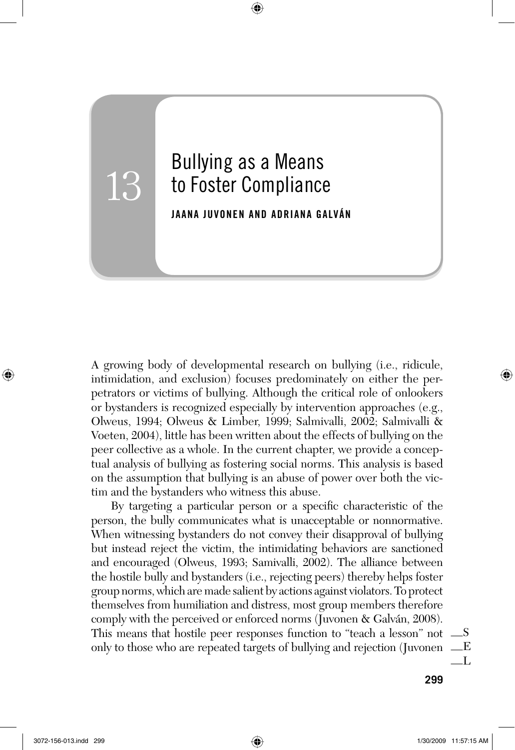# **13** Bullying as a Means to Foster Compliance **JAANA JUVONEN AND ADRIANA GALVÁN**

⊕

 A growing body of developmental research on bullying (i.e., ridicule, intimidation, and exclusion) focuses predominately on either the perpetrators or victims of bullying. Although the critical role of onlookers or bystanders is recognized especially by intervention approaches (e.g., Olweus, 1994; Olweus & Limber, 1999; Salmivalli, 2002; Salmivalli & Voeten, 2004), little has been written about the effects of bullying on the peer collective as a whole. In the current chapter, we provide a conceptual analysis of bullying as fostering social norms. This analysis is based on the assumption that bullying is an abuse of power over both the victim and the bystanders who witness this abuse.

By targeting a particular person or a specific characteristic of the person, the bully communicates what is unacceptable or nonnormative. When witnessing bystanders do not convey their disapproval of bullying but instead reject the victim, the intimidating behaviors are sanctioned and encouraged (Olweus, 1993; Samivalli, 2002). The alliance between the hostile bully and bystanders (i.e., rejecting peers) thereby helps foster group norms, which are made salient by actions against violators. To protect themselves from humiliation and distress, most group members therefore comply with the perceived or enforced norms (Juvonen & Galván, 2008). This means that hostile peer responses function to "teach a lesson" not only to those who are repeated targets of bullying and rejection (Juvonen

 $\Gamma$ 

—S —E ⊕

**299**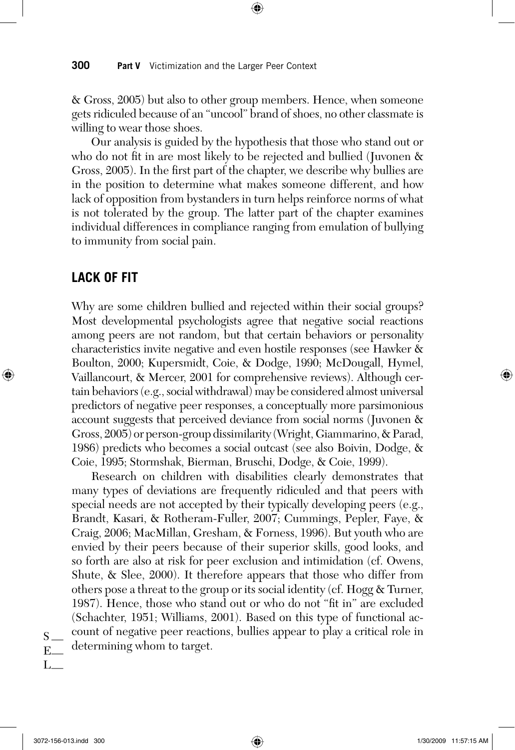& Gross, 2005) but also to other group members. Hence, when someone gets ridiculed because of an "uncool" brand of shoes, no other classmate is willing to wear those shoes.

⊕

 Our analysis is guided by the hypothesis that those who stand out or who do not fit in are most likely to be rejected and bullied (Juvonen  $\&$ Gross, 2005). In the first part of the chapter, we describe why bullies are in the position to determine what makes someone different, and how lack of opposition from bystanders in turn helps reinforce norms of what is not tolerated by the group. The latter part of the chapter examines individual differences in compliance ranging from emulation of bullying to immunity from social pain.

# **LACK OF FIT**

Why are some children bullied and rejected within their social groups? Most developmental psychologists agree that negative social reactions among peers are not random, but that certain behaviors or personality characteristics invite negative and even hostile responses (see Hawker & Boulton, 2000; Kupersmidt, Coie, & Dodge, 1990; McDougall, Hymel, Vaillancourt, & Mercer, 2001 for comprehensive reviews). Although certain behaviors (e.g., social withdrawal) may be considered almost universal predictors of negative peer responses, a conceptually more parsimonious account suggests that perceived deviance from social norms (Juvonen & Gross, 2005) or person-group dissimilarity (Wright, Giammarino, & Parad, 1986) predicts who becomes a social outcast (see also Boivin, Dodge, & Coie, 1995; Stormshak, Bierman, Bruschi, Dodge, & Coie, 1999).

 Research on children with disabilities clearly demonstrates that many types of deviations are frequently ridiculed and that peers with special needs are not accepted by their typically developing peers (e.g., Brandt, Kasari, & Rotheram-Fuller, 2007; Cummings, Pepler, Faye, & Craig, 2006; MacMillan, Gresham, & Forness, 1996). But youth who are envied by their peers because of their superior skills, good looks, and so forth are also at risk for peer exclusion and intimidation (cf. Owens, Shute, & Slee, 2000). It therefore appears that those who differ from others pose a threat to the group or its social identity (cf. Hogg & Turner, 1987). Hence, those who stand out or who do not "fit in" are excluded (Schachter, 1951; Williams, 2001). Based on this type of functional account of negative peer reactions, bullies appear to play a critical role in determining whom to target.

 $E_{-}$  $L_{-}$ 

 $S_{\pm}$ 

⊕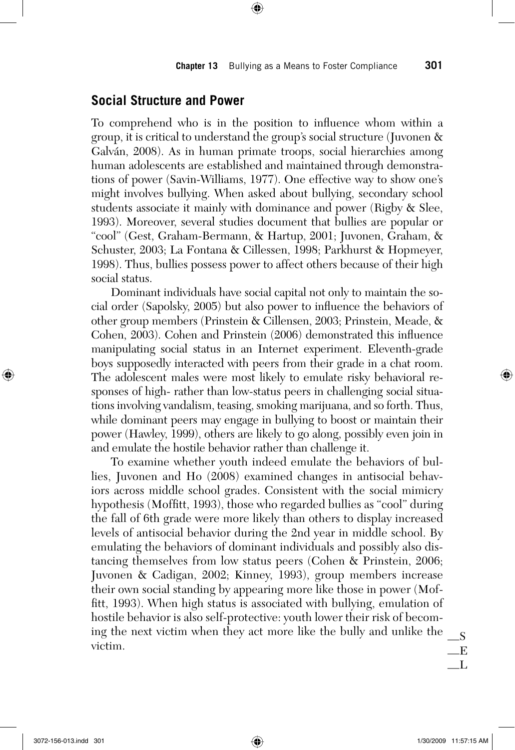## **Social Structure and Power**

To comprehend who is in the position to influence whom within a group, it is critical to understand the group's social structure (Juvonen & Galván, 2008). As in human primate troops, social hierarchies among human adolescents are established and maintained through demonstrations of power (Savin-Williams, 1977). One effective way to show one's might involves bullying. When asked about bullying, secondary school students associate it mainly with dominance and power (Rigby & Slee, 1993). Moreover, several studies document that bullies are popular or "cool" (Gest, Graham-Bermann, & Hartup, 2001; Juvonen, Graham, & Schuster, 2003; La Fontana & Cillessen, 1998; Parkhurst & Hopmeyer, 1998). Thus, bullies possess power to affect others because of their high social status.

↔

 Dominant individuals have social capital not only to maintain the social order (Sapolsky, 2005) but also power to influence the behaviors of other group members (Prinstein & Cillensen, 2003; Prinstein, Meade, & Cohen, 2003). Cohen and Prinstein (2006) demonstrated this influence manipulating social status in an Internet experiment. Eleventh-grade boys supposedly interacted with peers from their grade in a chat room. The adolescent males were most likely to emulate risky behavioral responses of high- rather than low-status peers in challenging social situations involving vandalism, teasing, smoking marijuana, and so forth. Thus, while dominant peers may engage in bullying to boost or maintain their power (Hawley, 1999), others are likely to go along, possibly even join in and emulate the hostile behavior rather than challenge it.

 To examine whether youth indeed emulate the behaviors of bullies, Juvonen and Ho (2008) examined changes in antisocial behaviors across middle school grades. Consistent with the social mimicry hypothesis (Moffitt, 1993), those who regarded bullies as "cool" during the fall of 6th grade were more likely than others to display increased levels of antisocial behavior during the 2nd year in middle school. By emulating the behaviors of dominant individuals and possibly also distancing themselves from low status peers (Cohen & Prinstein, 2006; Juvonen & Cadigan, 2002; Kinney, 1993), group members increase their own social standing by appearing more like those in power (Moffitt, 1993). When high status is associated with bullying, emulation of hostile behavior is also self-protective: youth lower their risk of becoming the next victim when they act more like the bully and unlike the victim.

—S

⇔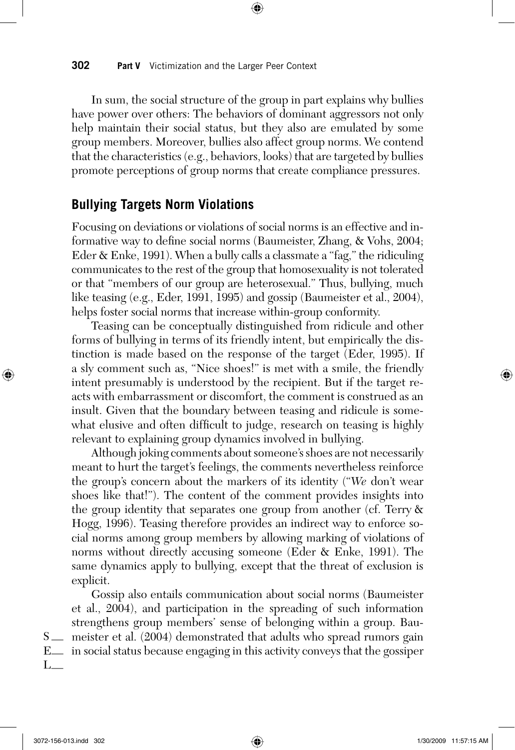In sum, the social structure of the group in part explains why bullies have power over others: The behaviors of dominant aggressors not only help maintain their social status, but they also are emulated by some group members. Moreover, bullies also affect group norms. We contend that the characteristics (e.g., behaviors, looks) that are targeted by bullies promote perceptions of group norms that create compliance pressures.

⊕

# **Bullying Targets Norm Violations**

 Focusing on deviations or violations of social norms is an effective and informative way to define social norms (Baumeister, Zhang, & Vohs, 2004; Eder & Enke, 1991). When a bully calls a classmate a "fag," the ridiculing communicates to the rest of the group that homosexuality is not tolerated or that "members of our group are heterosexual." Thus, bullying, much like teasing (e.g., Eder, 1991, 1995) and gossip (Baumeister et al., 2004), helps foster social norms that increase within-group conformity.

 Teasing can be conceptually distinguished from ridicule and other forms of bullying in terms of its friendly intent, but empirically the distinction is made based on the response of the target (Eder, 1995). If a sly comment such as, "Nice shoes!" is met with a smile, the friendly intent presumably is understood by the recipient. But if the target reacts with embarrassment or discomfort, the comment is construed as an insult. Given that the boundary between teasing and ridicule is somewhat elusive and often difficult to judge, research on teasing is highly relevant to explaining group dynamics involved in bullying.

 Although joking comments about someone's shoes are not necessarily meant to hurt the target's feelings, the comments nevertheless reinforce the group's concern about the markers of its identity (" *We* don't wear shoes like that!"). The content of the comment provides insights into the group identity that separates one group from another (cf. Terry & Hogg, 1996). Teasing therefore provides an indirect way to enforce social norms among group members by allowing marking of violations of norms without directly accusing someone (Eder & Enke, 1991). The same dynamics apply to bullying, except that the threat of exclusion is explicit.

S— meister et al. (2004) demonstrated that adults who spread rumors gain E— in social status because engaging in this activity conveys that the gossiper  $L_{-}$  Gossip also entails communication about social norms (Baumeister et al., 2004), and participation in the spreading of such information strengthens group members' sense of belonging within a group. Bau-

⊕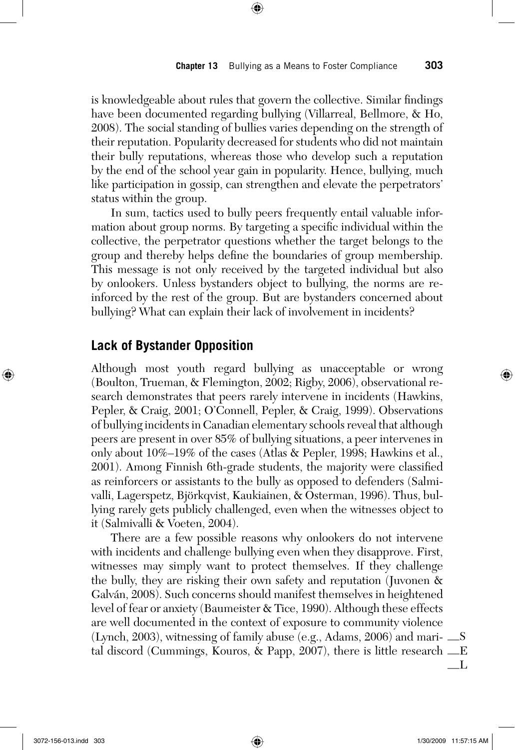is knowledgeable about rules that govern the collective. Similar findings have been documented regarding bullying (Villarreal, Bellmore, & Ho, 2008). The social standing of bullies varies depending on the strength of their reputation. Popularity decreased for students who did not maintain their bully reputations, whereas those who develop such a reputation by the end of the school year gain in popularity. Hence, bullying, much like participation in gossip, can strengthen and elevate the perpetrators' status within the group.

⊕

 In sum, tactics used to bully peers frequently entail valuable information about group norms. By targeting a specific individual within the collective, the perpetrator questions whether the target belongs to the group and thereby helps define the boundaries of group membership. This message is not only received by the targeted individual but also by onlookers. Unless bystanders object to bullying, the norms are reinforced by the rest of the group. But are bystanders concerned about bullying? What can explain their lack of involvement in incidents?

## **Lack of Bystander Opposition**

 Although most youth regard bullying as unacceptable or wrong (Boulton, Trueman, & Flemington, 2002; Rigby, 2006), observational research demonstrates that peers rarely intervene in incidents (Hawkins, Pepler, & Craig, 2001; O'Connell, Pepler, & Craig, 1999). Observations of bullying incidents in Canadian elementary schools reveal that although peers are present in over 85% of bullying situations, a peer intervenes in only about 10%–19% of the cases (Atlas & Pepler, 1998; Hawkins et al., 2001). Among Finnish 6th-grade students, the majority were classified as reinforcers or assistants to the bully as opposed to defenders (Salmivalli, Lagerspetz, Björkqvist, Kaukiainen, & Osterman, 1996). Thus, bullying rarely gets publicly challenged, even when the witnesses object to it (Salmivalli & Voeten, 2004).

(Lynch, 2003), witnessing of family abuse (e.g., Adams, 2006) and mari-  $\_\_\_\_\_\_\_\_\_$ tal discord (Cummings, Kouros, & Papp, 2007), there is little research  $\_\mathsf{E}$  There are a few possible reasons why onlookers do not intervene with incidents and challenge bullying even when they disapprove. First, witnesses may simply want to protect themselves. If they challenge the bully, they are risking their own safety and reputation (Juvonen & Galván, 2008). Such concerns should manifest themselves in heightened level of fear or anxiety (Baumeister & Tice, 1990). Although these effects are well documented in the context of exposure to community violence

 $\Box$ L

⇔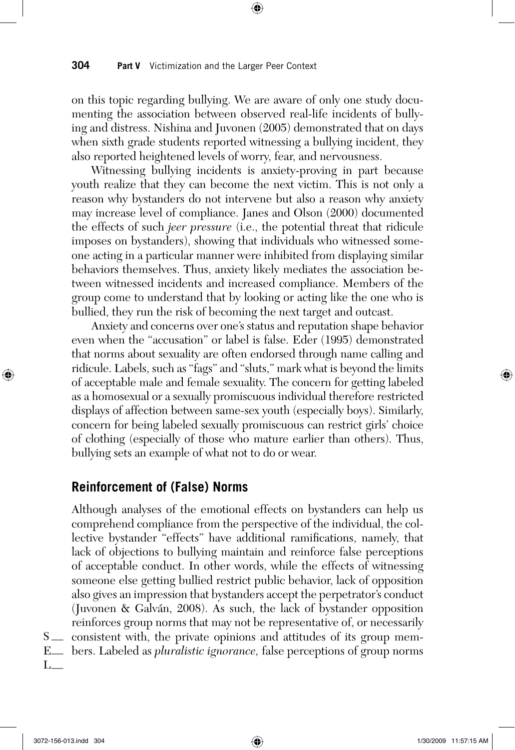on this topic regarding bullying. We are aware of only one study documenting the association between observed real-life incidents of bullying and distress. Nishina and Juvonen (2005) demonstrated that on days when sixth grade students reported witnessing a bullying incident, they also reported heightened levels of worry, fear, and nervousness.

⊕

 Witnessing bullying incidents is anxiety-proving in part because youth realize that they can become the next victim. This is not only a reason why bystanders do not intervene but also a reason why anxiety may increase level of compliance. Janes and Olson (2000) documented the effects of such *jeer pressure* (i.e., the potential threat that ridicule imposes on bystanders), showing that individuals who witnessed someone acting in a particular manner were inhibited from displaying similar behaviors themselves. Thus, anxiety likely mediates the association between witnessed incidents and increased compliance. Members of the group come to understand that by looking or acting like the one who is bullied, they run the risk of becoming the next target and outcast.

 Anxiety and concerns over one's status and reputation shape behavior even when the "accusation" or label is false. Eder (1995) demonstrated that norms about sexuality are often endorsed through name calling and ridicule. Labels, such as "fags" and "sluts," mark what is beyond the limits of acceptable male and female sexuality. The concern for getting labeled as a homosexual or a sexually promiscuous individual therefore restricted displays of affection between same-sex youth (especially boys). Similarly, concern for being labeled sexually promiscuous can restrict girls' choice of clothing (especially of those who mature earlier than others). Thus, bullying sets an example of what not to do or wear.

# **Reinforcement of (False) Norms**

S— consistent with, the private opinions and attitudes of its group mem-E— bers. Labeled as *pluralistic ignorance,* false perceptions of group norms Although analyses of the emotional effects on bystanders can help us comprehend compliance from the perspective of the individual, the collective bystander "effects" have additional ramifications, namely, that lack of objections to bullying maintain and reinforce false perceptions of acceptable conduct. In other words, while the effects of witnessing someone else getting bullied restrict public behavior, lack of opposition also gives an impression that bystanders accept the perpetrator's conduct (Juvonen & Galván, 2008). As such, the lack of bystander opposition reinforces group norms that may not be representative of, or necessarily

 $L_{-}$ 

⊕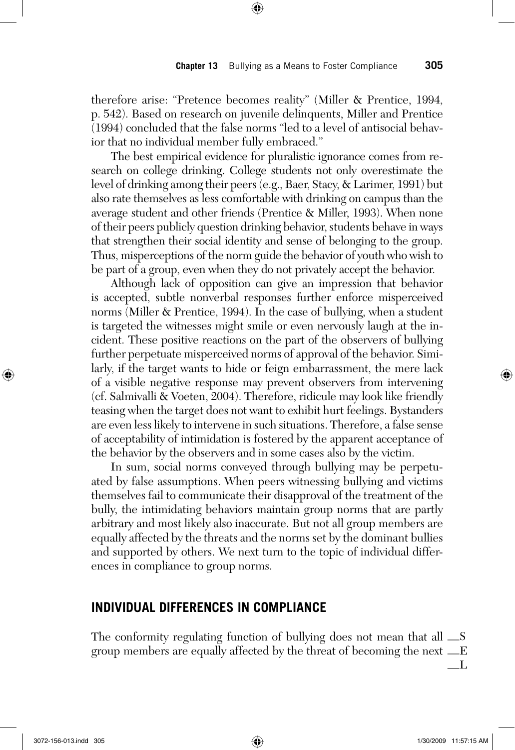therefore arise: "Pretence becomes reality" (Miller & Prentice, 1994, p. 542). Based on research on juvenile delinquents, Miller and Prentice (1994) concluded that the false norms "led to a level of antisocial behavior that no individual member fully embraced."

⊕

 The best empirical evidence for pluralistic ignorance comes from research on college drinking. College students not only overestimate the level of drinking among their peers (e.g., Baer, Stacy, & Larimer, 1991) but also rate themselves as less comfortable with drinking on campus than the average student and other friends (Prentice & Miller, 1993). When none of their peers publicly question drinking behavior, students behave in ways that strengthen their social identity and sense of belonging to the group. Thus, misperceptions of the norm guide the behavior of youth who wish to be part of a group, even when they do not privately accept the behavior.

 Although lack of opposition can give an impression that behavior is accepted, subtle nonverbal responses further enforce misperceived norms (Miller & Prentice, 1994). In the case of bullying, when a student is targeted the witnesses might smile or even nervously laugh at the incident. These positive reactions on the part of the observers of bullying further perpetuate misperceived norms of approval of the behavior. Similarly, if the target wants to hide or feign embarrassment, the mere lack of a visible negative response may prevent observers from intervening (cf. Salmivalli & Voeten, 2004). Therefore, ridicule may look like friendly teasing when the target does not want to exhibit hurt feelings. Bystanders are even less likely to intervene in such situations. Therefore, a false sense of acceptability of intimidation is fostered by the apparent acceptance of the behavior by the observers and in some cases also by the victim.

 In sum, social norms conveyed through bullying may be perpetuated by false assumptions. When peers witnessing bullying and victims themselves fail to communicate their disapproval of the treatment of the bully, the intimidating behaviors maintain group norms that are partly arbitrary and most likely also inaccurate. But not all group members are equally affected by the threats and the norms set by the dominant bullies and supported by others. We next turn to the topic of individual differences in compliance to group norms.

## **INDIVIDUAL DIFFERENCES IN COMPLIANCE**

The conformity regulating function of bullying does not mean that all  $\_\_\_\mathcal{S}$ group members are equally affected by the threat of becoming the next  $\_\mathrm{E}$ 

⊕

 $\_$   $\_$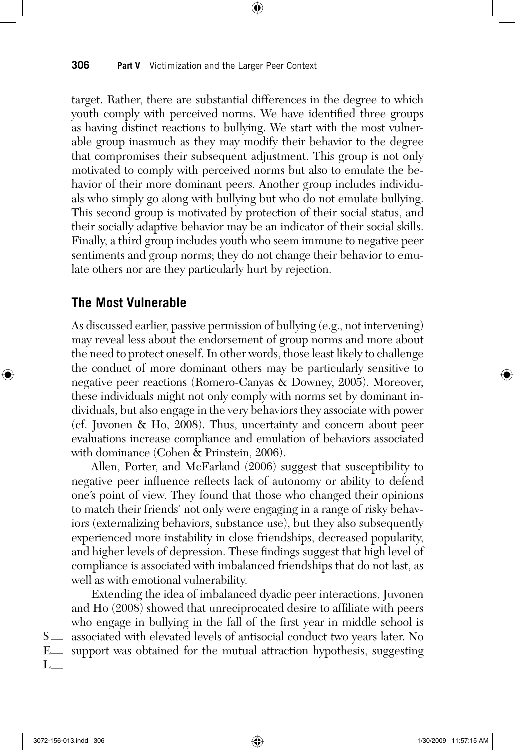target. Rather, there are substantial differences in the degree to which youth comply with perceived norms. We have identified three groups as having distinct reactions to bullying. We start with the most vulnerable group inasmuch as they may modify their behavior to the degree that compromises their subsequent adjustment. This group is not only motivated to comply with perceived norms but also to emulate the behavior of their more dominant peers. Another group includes individuals who simply go along with bullying but who do not emulate bullying. This second group is motivated by protection of their social status, and their socially adaptive behavior may be an indicator of their social skills. Finally, a third group includes youth who seem immune to negative peer sentiments and group norms; they do not change their behavior to emulate others nor are they particularly hurt by rejection.

⊕

## **The Most Vulnerable**

 As discussed earlier, passive permission of bullying (e.g., not intervening) may reveal less about the endorsement of group norms and more about the need to protect oneself. In other words, those least likely to challenge the conduct of more dominant others may be particularly sensitive to negative peer reactions (Romero-Canyas & Downey, 2005). Moreover, these individuals might not only comply with norms set by dominant individuals, but also engage in the very behaviors they associate with power (cf. Juvonen & Ho, 2008). Thus, uncertainty and concern about peer evaluations increase compliance and emulation of behaviors associated with dominance (Cohen & Prinstein, 2006).

 Allen, Porter, and McFarland (2006) suggest that susceptibility to negative peer influence reflects lack of autonomy or ability to defend one's point of view. They found that those who changed their opinions to match their friends' not only were engaging in a range of risky behaviors (externalizing behaviors, substance use), but they also subsequently experienced more instability in close friendships, decreased popularity, and higher levels of depression. These findings suggest that high level of compliance is associated with imbalanced friendships that do not last, as well as with emotional vulnerability.

S— associated with elevated levels of antisocial conduct two years later. No  $E_{-}$  $L_{-}$  Extending the idea of imbalanced dyadic peer interactions, Juvonen and Ho (2008) showed that unreciprocated desire to affiliate with peers who engage in bullying in the fall of the first year in middle school is support was obtained for the mutual attraction hypothesis, suggesting

⊕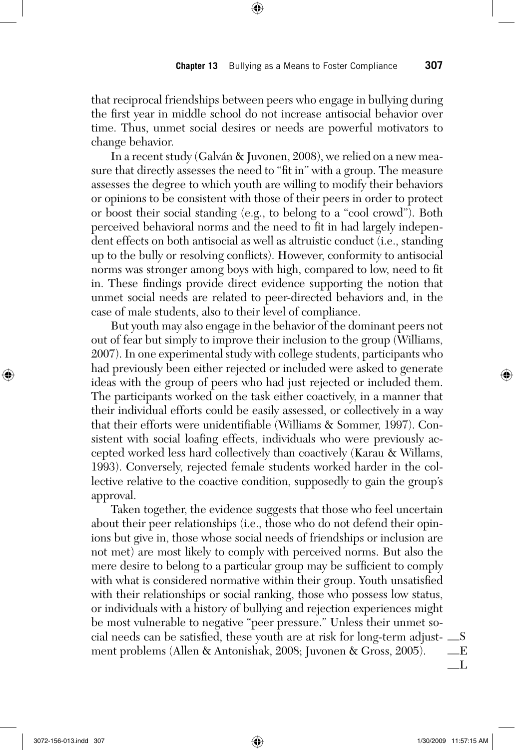that reciprocal friendships between peers who engage in bullying during the first year in middle school do not increase antisocial behavior over time. Thus, unmet social desires or needs are powerful motivators to change behavior.

⊕

 In a recent study (Galván & Juvonen, 2008), we relied on a new measure that directly assesses the need to "fit in" with a group. The measure assesses the degree to which youth are willing to modify their behaviors or opinions to be consistent with those of their peers in order to protect or boost their social standing (e.g., to belong to a "cool crowd"). Both perceived behavioral norms and the need to fit in had largely independent effects on both antisocial as well as altruistic conduct (i.e., standing up to the bully or resolving conflicts). However, conformity to antisocial norms was stronger among boys with high, compared to low, need to fit in. These findings provide direct evidence supporting the notion that unmet social needs are related to peer-directed behaviors and, in the case of male students, also to their level of compliance.

 But youth may also engage in the behavior of the dominant peers not out of fear but simply to improve their inclusion to the group (Williams, 2007). In one experimental study with college students, participants who had previously been either rejected or included were asked to generate ideas with the group of peers who had just rejected or included them. The participants worked on the task either coactively, in a manner that their individual efforts could be easily assessed, or collectively in a way that their efforts were unidentifiable (Williams & Sommer, 1997). Consistent with social loafing effects, individuals who were previously accepted worked less hard collectively than coactively (Karau & Willams, 1993). Conversely, rejected female students worked harder in the collective relative to the coactive condition, supposedly to gain the group's approval.

cial needs can be satisfied, these youth are at risk for long-term adjust-  $\_\_\_\text{S}$  Taken together, the evidence suggests that those who feel uncertain about their peer relationships (i.e., those who do not defend their opinions but give in, those whose social needs of friendships or inclusion are not met) are most likely to comply with perceived norms. But also the mere desire to belong to a particular group may be sufficient to comply with what is considered normative within their group. Youth unsatisfied with their relationships or social ranking, those who possess low status, or individuals with a history of bullying and rejection experiences might be most vulnerable to negative "peer pressure." Unless their unmet soment problems (Allen & Antonishak, 2008; Juvonen & Gross, 2005).

—E  $\Box$ L

⊕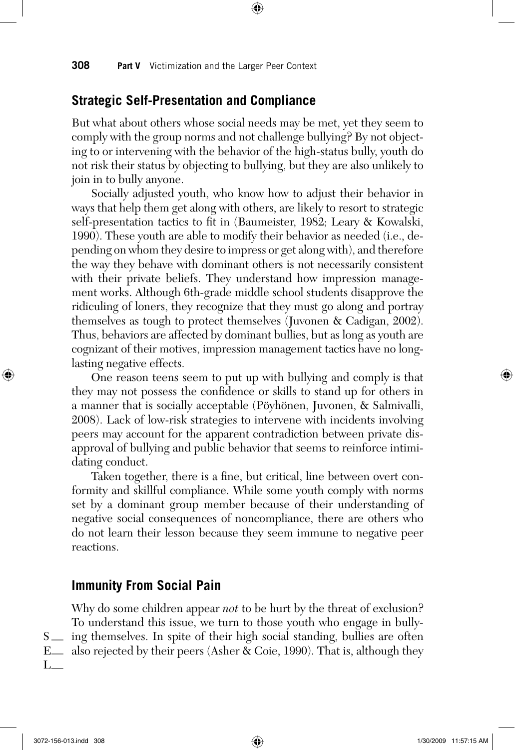## **Strategic Self-Presentation and Compliance**

 But what about others whose social needs may be met, yet they seem to comply with the group norms and not challenge bullying? By not objecting to or intervening with the behavior of the high-status bully, youth do not risk their status by objecting to bullying, but they are also unlikely to join in to bully anyone.

⊕

 Socially adjusted youth, who know how to adjust their behavior in ways that help them get along with others, are likely to resort to strategic self-presentation tactics to fit in (Baumeister, 1982; Leary  $\&$  Kowalski, 1990). These youth are able to modify their behavior as needed (i.e., depending on whom they desire to impress or get along with), and therefore the way they behave with dominant others is not necessarily consistent with their private beliefs. They understand how impression management works. Although 6th-grade middle school students disapprove the ridiculing of loners, they recognize that they must go along and portray themselves as tough to protect themselves (Juvonen & Cadigan, 2002). Thus, behaviors are affected by dominant bullies, but as long as youth are cognizant of their motives, impression management tactics have no longlasting negative effects.

 One reason teens seem to put up with bullying and comply is that they may not possess the confidence or skills to stand up for others in a manner that is socially acceptable (Pöyhönen, Juvonen, & Salmivalli, 2008). Lack of low-risk strategies to intervene with incidents involving peers may account for the apparent contradiction between private disapproval of bullying and public behavior that seems to reinforce intimidating conduct.

Taken together, there is a fine, but critical, line between overt conformity and skillful compliance. While some youth comply with norms set by a dominant group member because of their understanding of negative social consequences of noncompliance, there are others who do not learn their lesson because they seem immune to negative peer reactions.

## **Immunity From Social Pain**

S— ing themselves. In spite of their high social standing, bullies are often  $E_{--}$  $L_{-}$  Why do some children appear *not* to be hurt by the threat of exclusion? To understand this issue, we turn to those youth who engage in bullyalso rejected by their peers (Asher & Coie, 1990). That is, although they

⊕

⇔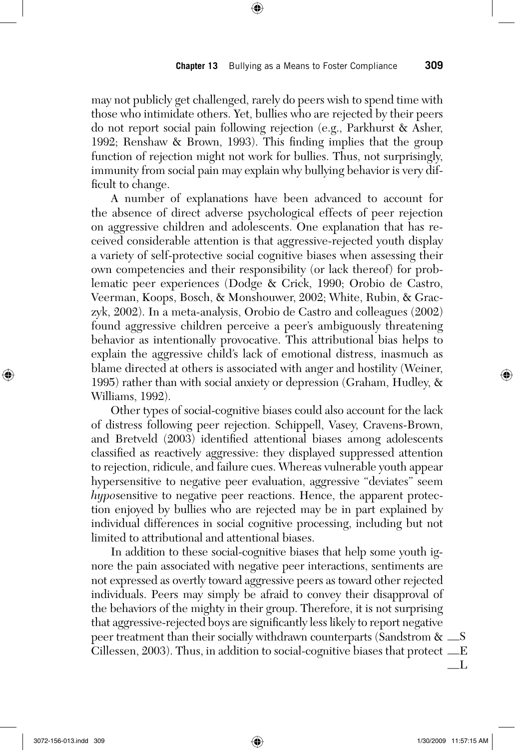may not publicly get challenged, rarely do peers wish to spend time with those who intimidate others. Yet, bullies who are rejected by their peers do not report social pain following rejection (e.g., Parkhurst & Asher, 1992; Renshaw & Brown, 1993). This finding implies that the group function of rejection might not work for bullies. Thus, not surprisingly, immunity from social pain may explain why bullying behavior is very difficult to change.

⊕

 A number of explanations have been advanced to account for the absence of direct adverse psychological effects of peer rejection on aggressive children and adolescents. One explanation that has received considerable attention is that aggressive-rejected youth display a variety of self-protective social cognitive biases when assessing their own competencies and their responsibility (or lack thereof) for problematic peer experiences (Dodge & Crick, 1990; Orobio de Castro, Veerman, Koops, Bosch, & Monshouwer, 2002; White, Rubin, & Graczyk, 2002). In a meta-analysis, Orobio de Castro and colleagues (2002) found aggressive children perceive a peer's ambiguously threatening behavior as intentionally provocative. This attributional bias helps to explain the aggressive child's lack of emotional distress, inasmuch as blame directed at others is associated with anger and hostility (Weiner, 1995) rather than with social anxiety or depression (Graham, Hudley, & Williams, 1992).

 Other types of social-cognitive biases could also account for the lack of distress following peer rejection. Schippell, Vasey, Cravens-Brown, and Bretveld (2003) identified attentional biases among adolescents classifi ed as reactively aggressive: they displayed suppressed attention to rejection, ridicule, and failure cues. Whereas vulnerable youth appear hypersensitive to negative peer evaluation, aggressive "deviates" seem *hypo* sensitive to negative peer reactions. Hence, the apparent protection enjoyed by bullies who are rejected may be in part explained by individual differences in social cognitive processing, including but not limited to attributional and attentional biases.

peer treatment than their socially withdrawn counterparts (Sandstrom  $\& \_S$ Cillessen, 2003). Thus, in addition to social-cognitive biases that protect  $\_\mathbf{E}$  In addition to these social-cognitive biases that help some youth ignore the pain associated with negative peer interactions, sentiments are not expressed as overtly toward aggressive peers as toward other rejected individuals. Peers may simply be afraid to convey their disapproval of the behaviors of the mighty in their group. Therefore, it is not surprising that aggressive-rejected boys are significantly less likely to report negative

 $\mathbf{I}$ 

↔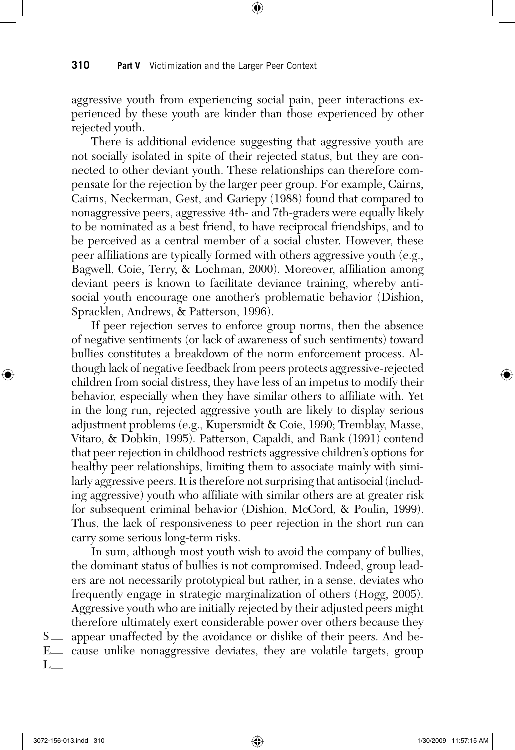aggressive youth from experiencing social pain, peer interactions experienced by these youth are kinder than those experienced by other rejected youth.

⊕

 There is additional evidence suggesting that aggressive youth are not socially isolated in spite of their rejected status, but they are connected to other deviant youth. These relationships can therefore compensate for the rejection by the larger peer group. For example, Cairns, Cairns, Neckerman, Gest, and Gariepy (1988) found that compared to nonaggressive peers, aggressive 4th- and 7th-graders were equally likely to be nominated as a best friend, to have reciprocal friendships, and to be perceived as a central member of a social cluster. However, these peer affiliations are typically formed with others aggressive youth (e.g., Bagwell, Coie, Terry, & Lochman, 2000). Moreover, affiliation among deviant peers is known to facilitate deviance training, whereby antisocial youth encourage one another's problematic behavior (Dishion, Spracklen, Andrews, & Patterson, 1996).

 If peer rejection serves to enforce group norms, then the absence of negative sentiments (or lack of awareness of such sentiments) toward bullies constitutes a breakdown of the norm enforcement process. Although lack of negative feedback from peers protects aggressive-rejected children from social distress, they have less of an impetus to modify their behavior, especially when they have similar others to affiliate with. Yet in the long run, rejected aggressive youth are likely to display serious adjustment problems (e.g., Kupersmidt & Coie, 1990; Tremblay, Masse, Vitaro, & Dobkin, 1995). Patterson, Capaldi, and Bank (1991) contend that peer rejection in childhood restricts aggressive children's options for healthy peer relationships, limiting them to associate mainly with similarly aggressive peers. It is therefore not surprising that antisocial (including aggressive) youth who affiliate with similar others are at greater risk for subsequent criminal behavior (Dishion, McCord, & Poulin, 1999). Thus, the lack of responsiveness to peer rejection in the short run can carry some serious long-term risks.

S— appear unaffected by the avoidance or dislike of their peers. And be-E— cause unlike nonaggressive deviates, they are volatile targets, group In sum, although most youth wish to avoid the company of bullies, the dominant status of bullies is not compromised. Indeed, group leaders are not necessarily prototypical but rather, in a sense, deviates who frequently engage in strategic marginalization of others (Hogg, 2005). Aggressive youth who are initially rejected by their adjusted peers might therefore ultimately exert considerable power over others because they

 $L_{-}$ 

⊕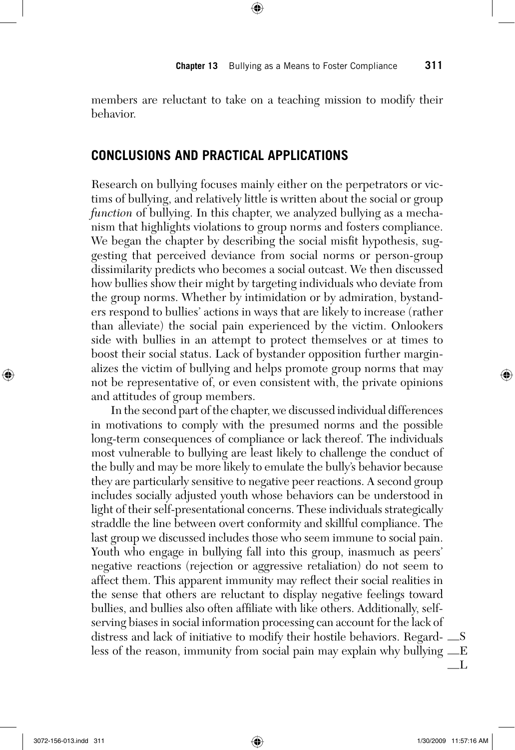members are reluctant to take on a teaching mission to modify their behavior.

⊕

# **CONCLUSIONS AND PRACTICAL APPLICATIONS**

 Research on bullying focuses mainly either on the perpetrators or victims of bullying, and relatively little is written about the social or group *function* of bullying. In this chapter, we analyzed bullying as a mechanism that highlights violations to group norms and fosters compliance. We began the chapter by describing the social misfit hypothesis, suggesting that perceived deviance from social norms or person-group dissimilarity predicts who becomes a social outcast. We then discussed how bullies show their might by targeting individuals who deviate from the group norms. Whether by intimidation or by admiration, bystanders respond to bullies' actions in ways that are likely to increase (rather than alleviate) the social pain experienced by the victim. Onlookers side with bullies in an attempt to protect themselves or at times to boost their social status. Lack of bystander opposition further marginalizes the victim of bullying and helps promote group norms that may not be representative of, or even consistent with, the private opinions and attitudes of group members.

distress and lack of initiative to modify their hostile behaviors. Regard- \_S less of the reason, immunity from social pain may explain why bullying  $\_\_E$  In the second part of the chapter, we discussed individual differences in motivations to comply with the presumed norms and the possible long-term consequences of compliance or lack thereof. The individuals most vulnerable to bullying are least likely to challenge the conduct of the bully and may be more likely to emulate the bully's behavior because they are particularly sensitive to negative peer reactions. A second group includes socially adjusted youth whose behaviors can be understood in light of their self-presentational concerns. These individuals strategically straddle the line between overt conformity and skillful compliance. The last group we discussed includes those who seem immune to social pain. Youth who engage in bullying fall into this group, inasmuch as peers' negative reactions (rejection or aggressive retaliation) do not seem to affect them. This apparent immunity may reflect their social realities in the sense that others are reluctant to display negative feelings toward bullies, and bullies also often affiliate with like others. Additionally, selfserving biases in social information processing can account for the lack of

 $\mathbf{I}$ 

↔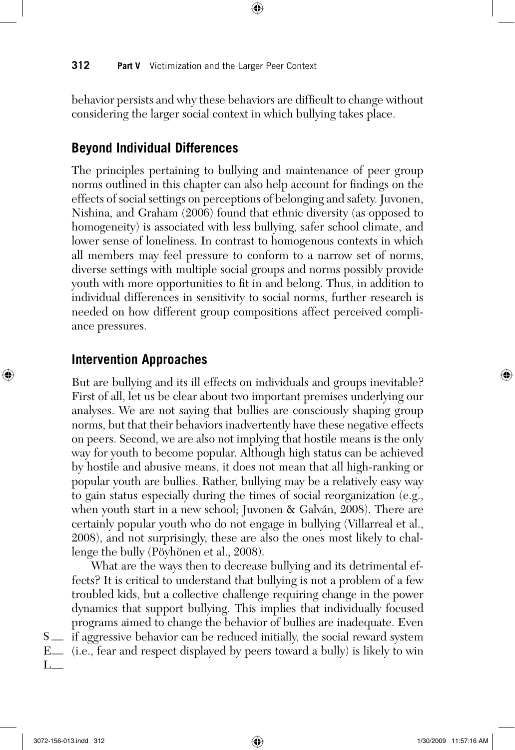behavior persists and why these behaviors are difficult to change without considering the larger social context in which bullying takes place.

⊕

# **Beyond Individual Differences**

 The principles pertaining to bullying and maintenance of peer group norms outlined in this chapter can also help account for findings on the effects of social settings on perceptions of belonging and safety. Juvonen, Nishina, and Graham (2006) found that ethnic diversity (as opposed to homogeneity) is associated with less bullying, safer school climate, and lower sense of loneliness. In contrast to homogenous contexts in which all members may feel pressure to conform to a narrow set of norms, diverse settings with multiple social groups and norms possibly provide youth with more opportunities to fit in and belong. Thus, in addition to individual differences in sensitivity to social norms, further research is needed on how different group compositions affect perceived compliance pressures.

## **Intervention Approaches**

 But are bullying and its ill effects on individuals and groups inevitable? First of all, let us be clear about two important premises underlying our analyses. We are not saying that bullies are consciously shaping group norms, but that their behaviors inadvertently have these negative effects on peers. Second, we are also not implying that hostile means is the only way for youth to become popular. Although high status can be achieved by hostile and abusive means, it does not mean that all high-ranking or popular youth are bullies. Rather, bullying may be a relatively easy way to gain status especially during the times of social reorganization (e.g., when youth start in a new school; Juvonen & Galván, 2008). There are certainly popular youth who do not engage in bullying (Villarreal et al., 2008), and not surprisingly, these are also the ones most likely to challenge the bully (Pöyhönen et al., 2008).

S— if aggressive behavior can be reduced initially, the social reward system E— (i.e., fear and respect displayed by peers toward a bully) is likely to win What are the ways then to decrease bullying and its detrimental effects? It is critical to understand that bullying is not a problem of a few troubled kids, but a collective challenge requiring change in the power dynamics that support bullying. This implies that individually focused programs aimed to change the behavior of bullies are inadequate. Even

 $L_{-}$ 

⊕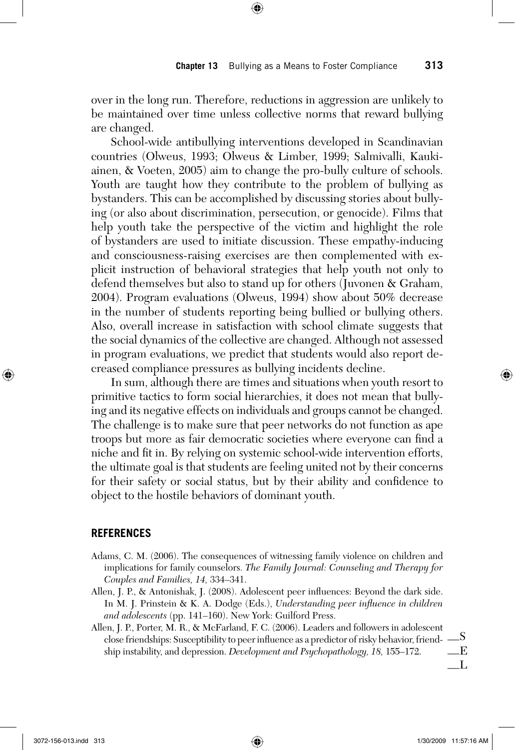over in the long run. Therefore, reductions in aggression are unlikely to be maintained over time unless collective norms that reward bullying are changed.

 School-wide antibullying interventions developed in Scandinavian countries (Olweus, 1993; Olweus & Limber, 1999; Salmivalli, Kaukiainen, & Voeten, 2005) aim to change the pro-bully culture of schools. Youth are taught how they contribute to the problem of bullying as bystanders. This can be accomplished by discussing stories about bullying (or also about discrimination, persecution, or genocide). Films that help youth take the perspective of the victim and highlight the role of bystanders are used to initiate discussion. These empathy-inducing and consciousness-raising exercises are then complemented with explicit instruction of behavioral strategies that help youth not only to defend themselves but also to stand up for others (Juvonen & Graham, 2004). Program evaluations (Olweus, 1994) show about 50% decrease in the number of students reporting being bullied or bullying others. Also, overall increase in satisfaction with school climate suggests that the social dynamics of the collective are changed. Although not assessed in program evaluations, we predict that students would also report decreased compliance pressures as bullying incidents decline.

 In sum, although there are times and situations when youth resort to primitive tactics to form social hierarchies, it does not mean that bullying and its negative effects on individuals and groups cannot be changed. The challenge is to make sure that peer networks do not function as ape troops but more as fair democratic societies where everyone can find a niche and fit in. By relying on systemic school-wide intervention efforts, the ultimate goal is that students are feeling united not by their concerns for their safety or social status, but by their ability and confidence to object to the hostile behaviors of dominant youth.

#### **REFERENCES**

- Adams, C. M. (2006). The consequences of witnessing family violence on children and implications for family counselors. *The Family Journal: Counseling and Therapy for Couples and Families, 14,* 334–341.
- Allen, J. P., & Antonishak, J. (2008). Adolescent peer influences: Beyond the dark side. In M. J. Prinstein & K. A. Dodge (Eds.), *Understanding peer influence in children and adolescents* (pp. 141–160). New York: Guilford Press.
- Allen, J. P., Porter, M. R., & McFarland, F. C. (2006). Leaders and followers in adolescent close friendships: Susceptibility to peer influence as a predictor of risky behavior, friendship instability, and depression. *Development and Psychopathology, 18,* 155–172.

—S —E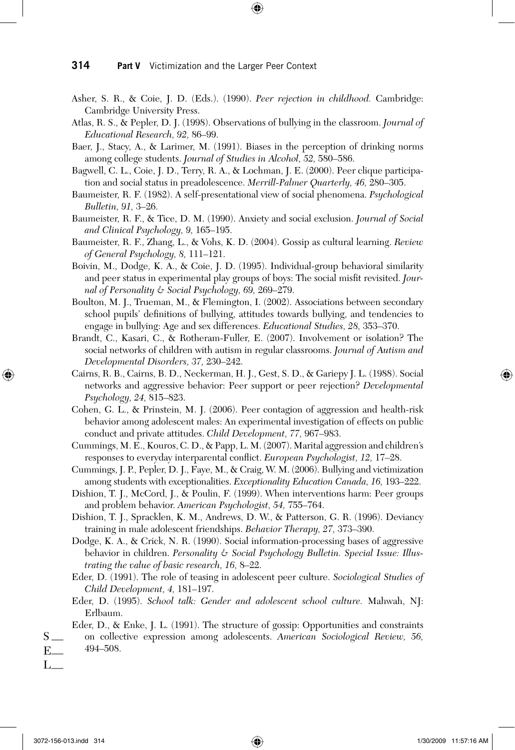- Asher, S. R., & Coie, J. D. (Eds.). (1990). *Peer rejection in childhood.* Cambridge: Cambridge University Press.
- Atlas, R. S., & Pepler, D. J. (1998). Observations of bullying in the classroom. *Journal of Educational Research, 92,* 86–99.
- Baer, J., Stacy, A., & Larimer, M. (1991). Biases in the perception of drinking norms among college students. *Journal of Studies in Alcohol, 52,* 580–586.
- Bagwell, C. L., Coie, J. D., Terry, R. A., & Lochman, J. E. (2000). Peer clique participation and social status in preadolescence. *Merrill-Palmer Quarterly, 46,* 280–305.
- Baumeister, R. F. (1982). A self-presentational view of social phenomena. *Psychological Bulletin, 91,* 3–26.
- Baumeister, R. F., & Tice, D. M. (1990). Anxiety and social exclusion. *Journal of Social and Clinical Psychology, 9,* 165–195.
- Baumeister, R. F., Zhang, L., & Vohs, K. D. (2004). Gossip as cultural learning. *Review of General Psychology, 8,* 111–121.
- Boivin, M., Dodge, K. A., & Coie, J. D. (1995). Individual-group behavioral similarity and peer status in experimental play groups of boys: The social misfit revisited. *Journal of Personality & Social Psychology, 69,* 269–279.
- Boulton, M. J., Trueman, M., & Flemington, I. (2002). Associations between secondary school pupils' definitions of bullying, attitudes towards bullying, and tendencies to engage in bullying: Age and sex differences. *Educational Studies, 28,* 353–370.
- Brandt, C., Kasari, C., & Rotheram-Fuller, E. (2007). Involvement or isolation? The social networks of children with autism in regular classrooms. *Journal of Autism and Developmental Disorders, 37,* 230–242.
- Cairns, R. B., Cairns, B. D., Neckerman, H. J., Gest, S. D., & Gariepy J. L. (1988). Social networks and aggressive behavior: Peer support or peer rejection? *Developmental Psychology, 24,* 815–823.
- Cohen, G. L., & Prinstein, M. J. (2006). Peer contagion of aggression and health-risk behavior among adolescent males: An experimental investigation of effects on public conduct and private attitudes. *Child Development, 77,* 967–983.
- Cummings, M. E., Kouros, C. D., & Papp, L. M. (2007). Marital aggression and children's responses to everyday interparental conflict. *European Psychologist*, 12, 17–28.
- Cummings, J. P., Pepler, D. J., Faye, M., & Craig, W. M. (2006). Bullying and victimization among students with exceptionalities. *Exceptionality Education Canada, 16,* 193–222.
- Dishion, T. J., McCord, J., & Poulin, F. (1999). When interventions harm: Peer groups and problem behavior. *American Psychologist, 54,* 755–764.
- Dishion, T. J., Spracklen, K. M., Andrews, D. W., & Patterson, G. R. (1996). Deviancy training in male adolescent friendships. *Behavior Therapy, 27,* 373–390.
- Dodge, K. A., & Crick, N. R. (1990). Social information-processing bases of aggressive behavior in children. *Personality & Social Psychology Bulletin. Special Issue: Illustrating the value of basic research, 16,* 8–22.
- Eder, D. (1991). The role of teasing in adolescent peer culture. *Sociological Studies of Child Development, 4,* 181–197.
- Eder, D. (1995). *School talk: Gender and adolescent school culture.* Mahwah, NJ: Erlbaum.
- Eder, D., & Enke, J. L. (1991). The structure of gossip: Opportunities and constraints
- on collective expression among adolescents. *American Sociological Review, 56,* 494–508.

 $E_{-}$  $L_{-}$ 

S—

↔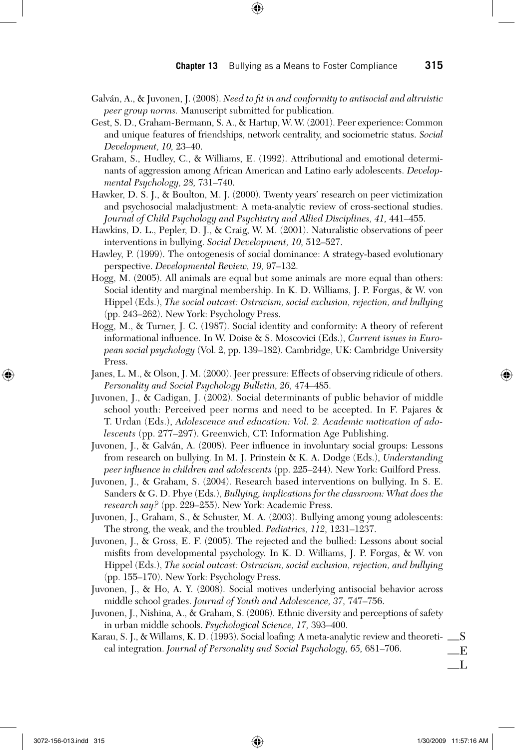- Galván, A., & Juvonen, J. (2008). *Need to fi t in and conformity to antisocial and altruistic peer group norms.* Manuscript submitted for publication.
- Gest, S. D., Graham-Bermann, S. A., & Hartup, W. W. (2001). Peer experience: Common and unique features of friendships, network centrality, and sociometric status. *Social Development, 10,* 23–40.
- Graham, S., Hudley, C., & Williams, E. (1992). Attributional and emotional determinants of aggression among African American and Latino early adolescents. *Developmental Psychology, 28,* 731–740.
- Hawker, D. S. J., & Boulton, M. J. (2000). Twenty years' research on peer victimization and psychosocial maladjustment: A meta-analytic review of cross-sectional studies. *Journal of Child Psychology and Psychiatry and Allied Disciplines, 41,* 441–455.
- Hawkins, D. L., Pepler, D. J., & Craig, W. M. (2001). Naturalistic observations of peer interventions in bullying. *Social Development, 10,* 512–527.
- Hawley, P. (1999). The ontogenesis of social dominance: A strategy-based evolutionary perspective. *Developmental Review, 19,* 97–132.
- Hogg, M. (2005). All animals are equal but some animals are more equal than others: Social identity and marginal membership. In K. D. Williams, J. P. Forgas, & W. von Hippel (Eds.), *The social outcast: Ostracism, social exclusion, rejection, and bullying* (pp. 243–262). New York: Psychology Press.
- Hogg, M., & Turner, J. C. (1987). Social identity and conformity: A theory of referent informational influence. In W. Doise & S. Moscovici (Eds.), *Current issues in European social psychology* (Vol. 2, pp. 139–182). Cambridge, UK: Cambridge University Press.
- Janes, L. M., & Olson, J. M. (2000). Jeer pressure: Effects of observing ridicule of others. *Personality and Social Psychology Bulletin, 26,* 474–485.
- Juvonen, J., & Cadigan, J. (2002). Social determinants of public behavior of middle school youth: Perceived peer norms and need to be accepted. In F. Pajares & T. Urdan (Eds.), *Adolescence and education: Vol. 2. Academic motivation of adolescents* (pp. 277–297). Greenwich, CT: Information Age Publishing.
- Juvonen, J., & Galván, A. (2008). Peer influence in involuntary social groups: Lessons from research on bullying. In M. J. Prinstein & K. A. Dodge (Eds.), *Understanding peer infl uence in children and adolescents* (pp. 225–244). New York: Guilford Press.
- Juvonen, J., & Graham, S. (2004). Research based interventions on bullying. In S. E. Sanders & G. D. Phye (Eds.), *Bullying, implications for the classroom: What does the research say?* (pp. 229–255). New York: Academic Press.
- Juvonen, J., Graham, S., & Schuster, M. A. (2003). Bullying among young adolescents: The strong, the weak, and the troubled. *Pediatrics, 112,* 1231–1237.
- Juvonen, J., & Gross, E. F. (2005). The rejected and the bullied: Lessons about social misfits from developmental psychology. In K. D. Williams, J. P. Forgas, & W. von Hippel (Eds.), *The social outcast: Ostracism, social exclusion, rejection, and bullying* (pp. 155–170). New York: Psychology Press.
- Juvonen, J., & Ho, A. Y. (2008). Social motives underlying antisocial behavior across middle school grades. *Journal of Youth and Adolescence, 37,* 747–756.
- Juvonen, J., Nishina, A., & Graham, S. (2006). Ethnic diversity and perceptions of safety in urban middle schools. *Psychological Science, 17,* 393–400.
- —S  $_{\rm E}$ Karau, S. J., & Willams, K. D. (1993). Social loafing: A meta-analytic review and theoretical integration. *Journal of Personality and Social Psychology, 65,* 681–706.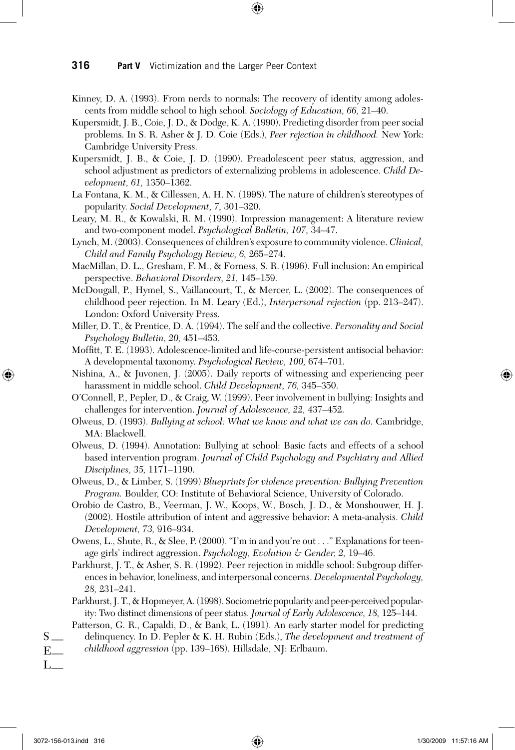- Kinney, D. A. (1993). From nerds to normals: The recovery of identity among adolescents from middle school to high school. *Sociology of Education, 66,* 21–40.
- Kupersmidt, J. B., Coie, J. D., & Dodge, K. A. (1990). Predicting disorder from peer social problems. In S. R. Asher & J. D. Coie (Eds.), *Peer rejection in childhood.* New York: Cambridge University Press.
- Kupersmidt, J. B., & Coie, J. D. (1990). Preadolescent peer status, aggression, and school adjustment as predictors of externalizing problems in adolescence. *Child Development, 61,* 1350–1362.
- La Fontana, K. M., & Cillessen, A. H. N. (1998). The nature of children's stereotypes of popularity. *Social Development, 7,* 301–320.
- Leary, M. R., & Kowalski, R. M. (1990). Impression management: A literature review and two-component model. *Psychological Bulletin, 107,* 34–47.
- Lynch, M. (2003). Consequences of children's exposure to community violence. *Clinical, Child and Family Psychology Review, 6,* 265–274.
- MacMillan, D. L., Gresham, F. M., & Forness, S. R. (1996). Full inclusion: An empirical perspective. *Behavioral Disorders, 21,* 145–159.
- McDougall, P., Hymel, S., Vaillancourt, T., & Mercer, L. (2002). The consequences of childhood peer rejection. In M. Leary (Ed.), *Interpersonal rejection* (pp. 213–247). London: Oxford University Press.
- Miller, D. T., & Prentice, D. A. (1994). The self and the collective. *Personality and Social Psychology Bulletin, 20,* 451–453.
- Moffitt, T. E. (1993). Adolescence-limited and life-course-persistent antisocial behavior: A developmental taxonomy. *Psychological Review, 100,* 674–701.
- Nishina, A., & Juvonen, J. (2005). Daily reports of witnessing and experiencing peer harassment in middle school. *Child Development, 76,* 345–350.
- O'Connell, P., Pepler, D., & Craig, W. (1999). Peer involvement in bullying: Insights and challenges for intervention. *Journal of Adolescence, 22,* 437–452.
- Olweus, D. (1993). *Bullying at school: What we know and what we can do.* Cambridge, MA: Blackwell.
- Olweus, D. (1994). Annotation: Bullying at school: Basic facts and effects of a school based intervention program. *Journal of Child Psychology and Psychiatry and Allied Disciplines, 35,* 1171–1190.
- Olweus, D., & Limber, S. (1999) *Blueprints for violence prevention: Bullying Prevention Program.* Boulder, CO: Institute of Behavioral Science, University of Colorado.
- Orobio de Castro, B., Veerman, J. W., Koops, W., Bosch, J. D., & Monshouwer, H. J. (2002). Hostile attribution of intent and aggressive behavior: A meta-analysis. *Child Development, 73,* 916–934.
- Owens, L., Shute, R., & Slee, P. (2000). "I'm in and you're out . . ." Explanations for teenage girls' indirect aggression. *Psychology, Evolution & Gender, 2,* 19–46.
- Parkhurst, J. T., & Asher, S. R. (1992). Peer rejection in middle school: Subgroup differences in behavior, loneliness, and interpersonal concerns. *Developmental Psychology, 28,* 231–241.
- Parkhurst, J. T., & Hopmeyer, A. (1998). Sociometric popularity and peer-perceived popularity: Two distinct dimensions of peer status. *Journal of Early Adolescence, 18,* 125–144.
- Patterson, G. R., Capaldi, D., & Bank, L. (1991). An early starter model for predicting delinquency. In D. Pepler & K. H. Rubin (Eds.), *The development and treatment of*
- E *childhood aggression* (pp. 139–168). Hillsdale, NJ: Erlbaum.
- $L_{-}$

 $S_{-}$ 

⇔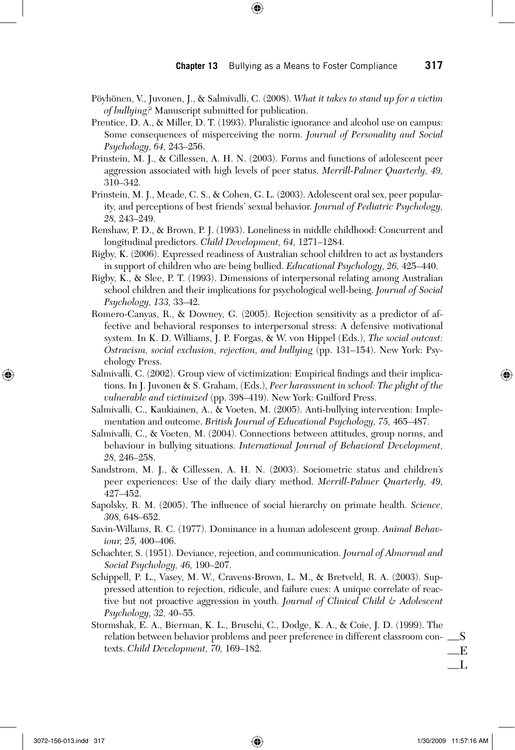- Pöyhönen, V., Juvonen, J., & Salmivalli, C. (2008). *What it takes to stand up for a victim of bullying?* Manuscript submitted for publication.
- Prentice, D. A., & Miller, D. T. (1993). Pluralistic ignorance and alcohol use on campus: Some consequences of misperceiving the norm. *Journal of Personality and Social Psychology, 64,* 243–256.
- Prinstein, M. J., & Cillessen, A. H. N. (2003). Forms and functions of adolescent peer aggression associated with high levels of peer status. *Merrill-Palmer Quarterly, 49,* 310–342.
- Prinstein, M. J., Meade, C. S., & Cohen, G. L. (2003). Adolescent oral sex, peer popularity, and perceptions of best friends' sexual behavior. *Journal of Pediatric Psychology, 28,* 243–249.
- Renshaw, P. D., & Brown, P. J. (1993). Loneliness in middle childhood: Concurrent and longitudinal predictors. *Child Development, 64,* 1271–1284.
- Rigby, K. (2006). Expressed readiness of Australian school children to act as bystanders in support of children who are being bullied. *Educational Psychology, 26,* 425–440.
- Rigby, K., & Slee, P. T. (1993). Dimensions of interpersonal relating among Australian school children and their implications for psychological well-being. *Journal of Social Psychology, 133,* 33–42.
- Romero-Canyas, R., & Downey, G. (2005). Rejection sensitivity as a predictor of affective and behavioral responses to interpersonal stress: A defensive motivational system. In K. D. Williams, J. P. Forgas, & W. von Hippel (Eds.), *The social outcast: Ostracism, social exclusion, rejection, and bullying* (pp. 131–154). New York: Psychology Press.
- Salmivalli, C. (2002). Group view of victimization: Empirical findings and their implications. In J. Juvonen & S. Graham, (Eds.), *Peer harassment in school: The plight of the vulnerable and victimized* (pp. 398–419). New York: Guilford Press.
- Salmivalli, C., Kaukiainen, A., & Voeten, M. (2005). Anti-bullying intervention: Implementation and outcome. *British Journal of Educational Psychology, 75,* 465–487.
- Salmivalli, C., & Voeten, M. (2004). Connections between attitudes, group norms, and behaviour in bullying situations. *International Journal of Behavioral Development, 28,* 246–258.
- Sandstrom, M. J., & Cillessen, A. H. N. (2003). Sociometric status and children's peer experiences: Use of the daily diary method. *Merrill-Palmer Quarterly, 49,* 427–452.
- Sapolsky, R. M. (2005). The influence of social hierarchy on primate health. *Science*, *308,* 648–652.
- Savin-Willams, R. C. (1977). Dominance in a human adolescent group. *Animal Behaviour, 25,* 400–406.
- Schachter, S. (1951). Deviance, rejection, and communication. *Journal of Abnormal and Social Psychology, 46,* 190–207.
- Schippell, P. L., Vasey, M. W., Cravens-Brown, L. M., & Bretveld, R. A. (2003). Suppressed attention to rejection, ridicule, and failure cues: A unique correlate of reactive but not proactive aggression in youth. *Journal of Clinical Child & Adolescent Psychology, 32,* 40–55.
- —S  $_{\rm E}$  Stormshak, E. A., Bierman, K. L., Bruschi, C., Dodge, K. A., & Coie, J. D. (1999). The relation between behavior problems and peer preference in different classroom contexts. *Child Development, 70,* 169–182.

 $\mathbf{I}$